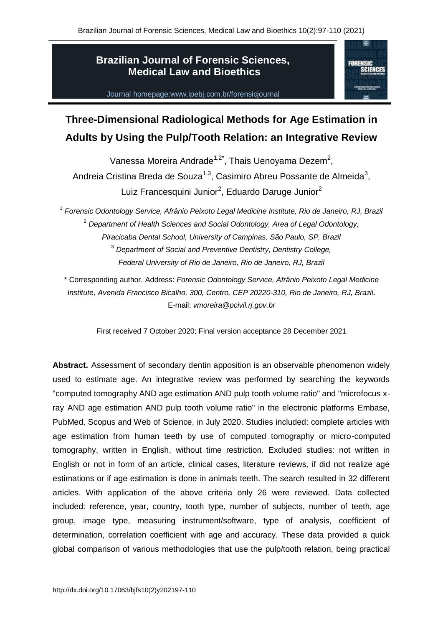## **Brazilian Journal of Forensic Sciences, Medical Law and Bioethics**

Journal homepage:www.ipebj.com.br/forensicjournal



# **Three-Dimensional Radiological Methods for Age Estimation in Adults by Using the Pulp/Tooth Relation: an Integrative Review**

Vanessa Moreira Andrade<sup>1,2\*</sup>, Thais Uenoyama Dezem<sup>2</sup>, Andreia Cristina Breda de Souza<sup>1,3</sup>, Casimiro Abreu Possante de Almeida<sup>3</sup>, Luiz Francesquini Junior<sup>2</sup>, Eduardo Daruge Junior<sup>2</sup>

<sup>1</sup> Forensic Odontology Service, Afrânio Peixoto Legal Medicine Institute, Rio de Janeiro, RJ, Brazil <sup>2</sup> *Department of Health Sciences and Social Odontology, Area of Legal Odontology, Piracicaba Dental School, University of Campinas, São Paulo, SP, Brazil* <sup>3</sup> *Department of Social and Preventive Dentistry, Dentistry College, Federal University of Rio de Janeiro, Rio de Janeiro, RJ, Brazil* 

\* Corresponding author. Address: *Forensic Odontology Service, Afrânio Peixoto Legal Medicine Institute, Avenida Francisco Bicalho, 300, Centro, CEP 20220-310, Rio de Janeiro, RJ, Brazil*. E-mail: *vmoreira@pcivil.rj.gov.br*

First received 7 October 2020; Final version acceptance 28 December 2021

**Abstract.** Assessment of secondary dentin apposition is an observable phenomenon widely used to estimate age. An integrative review was performed by searching the keywords "computed tomography AND age estimation AND pulp tooth volume ratio" and "microfocus xray AND age estimation AND pulp tooth volume ratio" in the electronic platforms Embase, PubMed, Scopus and Web of Science, in July 2020. Studies included: complete articles with age estimation from human teeth by use of computed tomography or micro-computed tomography, written in English, without time restriction. Excluded studies: not written in English or not in form of an article, clinical cases, literature reviews, if did not realize age estimations or if age estimation is done in animals teeth. The search resulted in 32 different articles. With application of the above criteria only 26 were reviewed. Data collected included: reference, year, country, tooth type, number of subjects, number of teeth, age group, image type, measuring instrument/software, type of analysis, coefficient of determination, correlation coefficient with age and accuracy. These data provided a quick global comparison of various methodologies that use the pulp/tooth relation, being practical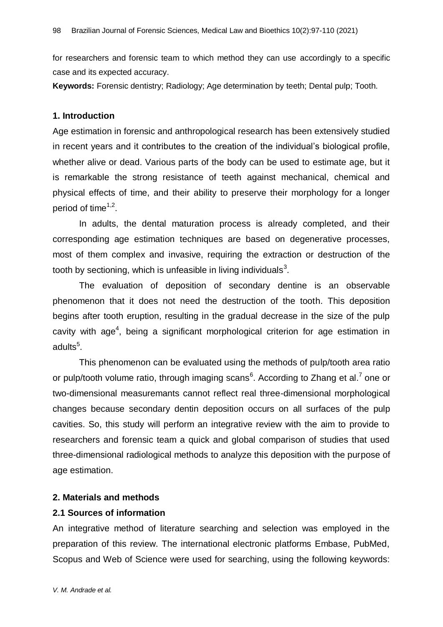for researchers and forensic team to which method they can use accordingly to a specific case and its expected accuracy.

**Keywords:** Forensic dentistry; Radiology; Age determination by teeth; Dental pulp; Tooth.

#### **1. Introduction**

Age estimation in forensic and anthropological research has been extensively studied in recent years and it contributes to the creation of the individual's biological profile, whether alive or dead. Various parts of the body can be used to estimate age, but it is remarkable the strong resistance of teeth against mechanical, chemical and physical effects of time, and their ability to preserve their morphology for a longer period of time<sup>1,2</sup>.

In adults, the dental maturation process is already completed, and their corresponding age estimation techniques are based on degenerative processes, most of them complex and invasive, requiring the extraction or destruction of the tooth by sectioning, which is unfeasible in living individuals<sup>3</sup>.

The evaluation of deposition of secondary dentine is an observable phenomenon that it does not need the destruction of the tooth. This deposition begins after tooth eruption, resulting in the gradual decrease in the size of the pulp cavity with age<sup>4</sup>, being a significant morphological criterion for age estimation in adults<sup>5</sup>.

This phenomenon can be evaluated using the methods of pulp/tooth area ratio or pulp/tooth volume ratio, through imaging scans<sup>6</sup>. According to Zhang et al.<sup>7</sup> one or two-dimensional measuremants cannot reflect real three-dimensional morphological changes because secondary dentin deposition occurs on all surfaces of the pulp cavities. So, this study will perform an integrative review with the aim to provide to researchers and forensic team a quick and global comparison of studies that used three-dimensional radiological methods to analyze this deposition with the purpose of age estimation.

#### **2. Materials and methods**

#### **2.1 Sources of information**

An integrative method of literature searching and selection was employed in the preparation of this review. The international electronic platforms Embase, PubMed, Scopus and Web of Science were used for searching, using the following keywords: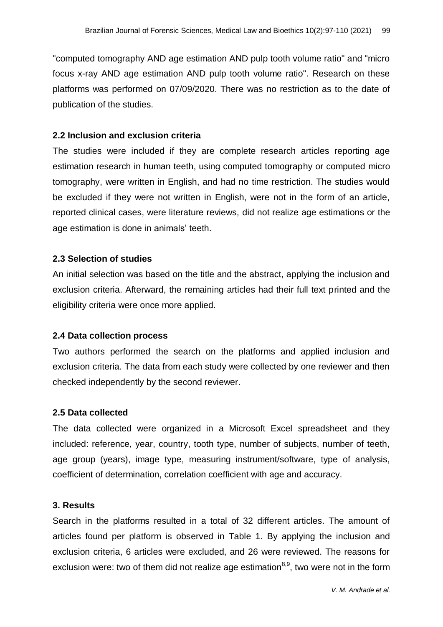"computed tomography AND age estimation AND pulp tooth volume ratio" and "micro focus x-ray AND age estimation AND pulp tooth volume ratio". Research on these platforms was performed on 07/09/2020. There was no restriction as to the date of publication of the studies.

## **2.2 Inclusion and exclusion criteria**

The studies were included if they are complete research articles reporting age estimation research in human teeth, using computed tomography or computed micro tomography, were written in English, and had no time restriction. The studies would be excluded if they were not written in English, were not in the form of an article, reported clinical cases, were literature reviews, did not realize age estimations or the age estimation is done in animals' teeth.

## **2.3 Selection of studies**

An initial selection was based on the title and the abstract, applying the inclusion and exclusion criteria. Afterward, the remaining articles had their full text printed and the eligibility criteria were once more applied.

## **2.4 Data collection process**

Two authors performed the search on the platforms and applied inclusion and exclusion criteria. The data from each study were collected by one reviewer and then checked independently by the second reviewer.

## **2.5 Data collected**

The data collected were organized in a Microsoft Excel spreadsheet and they included: reference, year, country, tooth type, number of subjects, number of teeth, age group (years), image type, measuring instrument/software, type of analysis, coefficient of determination, correlation coefficient with age and accuracy.

## **3. Results**

Search in the platforms resulted in a total of 32 different articles. The amount of articles found per platform is observed in Table 1. By applying the inclusion and exclusion criteria, 6 articles were excluded, and 26 were reviewed. The reasons for exclusion were: two of them did not realize age estimation<sup>8,9</sup>, two were not in the form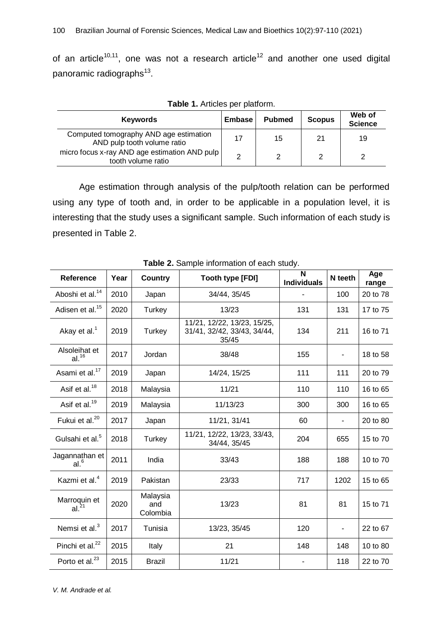of an article<sup>10,11</sup>, one was not a research article<sup>12</sup> and another one used digital panoramic radiographs<sup>13</sup>.

| <b>Table 1.</b> Alticles per platform.                                |               |               |               |                          |  |  |  |  |  |
|-----------------------------------------------------------------------|---------------|---------------|---------------|--------------------------|--|--|--|--|--|
| <b>Keywords</b>                                                       | <b>Embase</b> | <b>Pubmed</b> | <b>Scopus</b> | Web of<br><b>Science</b> |  |  |  |  |  |
| Computed tomography AND age estimation<br>AND pulp tooth volume ratio | 17            | 15            | 21            | 19                       |  |  |  |  |  |
| micro focus x-ray AND age estimation AND pulp<br>tooth volume ratio   | റ             | 2             | 2             | ◠                        |  |  |  |  |  |

**Table 1.** Articles per platform.

Age estimation through analysis of the pulp/tooth relation can be performed using any type of tooth and, in order to be applicable in a population level, it is interesting that the study uses a significant sample. Such information of each study is presented in Table 2.

| $\sim$ 2. Cample information of each otacy. |      |                             |                                                                     |                         |         |              |  |  |  |
|---------------------------------------------|------|-----------------------------|---------------------------------------------------------------------|-------------------------|---------|--------------|--|--|--|
| <b>Reference</b>                            | Year | <b>Country</b>              | Tooth type [FDI]                                                    | N<br><b>Individuals</b> | N teeth | Age<br>range |  |  |  |
| Aboshi et al. <sup>14</sup>                 | 2010 | Japan                       | 34/44, 35/45                                                        |                         | 100     | 20 to 78     |  |  |  |
| Adisen et al. <sup>15</sup>                 | 2020 | Turkey                      | 13/23                                                               | 131                     | 131     | 17 to 75     |  |  |  |
| Akay et al. <sup>1</sup>                    | 2019 | Turkey                      | 11/21, 12/22, 13/23, 15/25,<br>31/41, 32/42, 33/43, 34/44,<br>35/45 | 134                     | 211     | 16 to 71     |  |  |  |
| Alsoleihat et<br>al. <sup>16</sup>          | 2017 | Jordan                      | 38/48                                                               | 155                     |         | 18 to 58     |  |  |  |
| Asami et al. <sup>17</sup>                  | 2019 | Japan                       | 14/24, 15/25                                                        | 111                     | 111     | 20 to 79     |  |  |  |
| Asif et al. <sup>18</sup>                   | 2018 | Malaysia                    | 11/21                                                               | 110                     | 110     | 16 to 65     |  |  |  |
| Asif et al. <sup>19</sup>                   | 2019 | Malaysia                    | 11/13/23                                                            | 300                     | 300     | 16 to 65     |  |  |  |
| Fukui et al. <sup>20</sup>                  | 2017 | Japan                       | 11/21, 31/41                                                        | 60                      |         | 20 to 80     |  |  |  |
| Gulsahi et al. <sup>5</sup>                 | 2018 | Turkey                      | 11/21, 12/22, 13/23, 33/43,<br>34/44, 35/45                         | 204                     | 655     | 15 to 70     |  |  |  |
| Jagannathan et<br>al. <sup>6</sup>          | 2011 | India                       | 33/43                                                               | 188                     | 188     | 10 to 70     |  |  |  |
| Kazmi et al. <sup>4</sup>                   | 2019 | Pakistan                    | 23/33                                                               | 717                     | 1202    | 15 to 65     |  |  |  |
| Marroquin et $al.^{21}$                     | 2020 | Malaysia<br>and<br>Colombia | 13/23                                                               | 81                      | 81      | 15 to 71     |  |  |  |
| Nemsi et al. <sup>3</sup>                   | 2017 | Tunisia                     | 13/23, 35/45                                                        | 120                     |         | 22 to 67     |  |  |  |
| Pinchi et al. <sup>22</sup>                 | 2015 | Italy                       | 21                                                                  | 148                     | 148     | 10 to 80     |  |  |  |
| Porto et al. <sup>23</sup>                  | 2015 | <b>Brazil</b>               | 11/21                                                               |                         | 118     | 22 to 70     |  |  |  |

**Table 2.** Sample information of each study.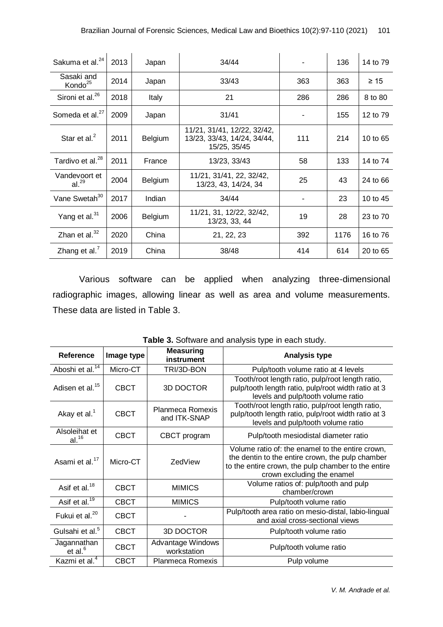| Sakuma et al. <sup>24</sup>        | 2013 | Japan          | 34/44                                                                      |     | 136  | 14 to 79  |
|------------------------------------|------|----------------|----------------------------------------------------------------------------|-----|------|-----------|
| Sasaki and<br>Kondo <sup>25</sup>  | 2014 | Japan          | 33/43                                                                      | 363 | 363  | $\geq 15$ |
| Sironi et al. <sup>26</sup>        | 2018 | Italy          | 21                                                                         | 286 | 286  | 8 to 80   |
| Someda et al. <sup>27</sup>        | 2009 | Japan          | 31/41                                                                      |     | 155  | 12 to 79  |
| Star et al. $2$                    | 2011 | <b>Belgium</b> | 11/21, 31/41, 12/22, 32/42,<br>13/23, 33/43, 14/24, 34/44,<br>15/25, 35/45 | 111 | 214  | 10 to 65  |
| Tardivo et al. <sup>28</sup>       | 2011 | France         | 13/23, 33/43                                                               | 58  | 133  | 14 to 74  |
| Vandevoort et<br>al. <sup>29</sup> | 2004 | <b>Belgium</b> | 11/21, 31/41, 22, 32/42,<br>13/23, 43, 14/24, 34                           | 25  | 43   | 24 to 66  |
| Vane Swetah <sup>30</sup>          | 2017 | Indian         | 34/44                                                                      |     | 23   | 10 to 45  |
| Yang et al. <sup>31</sup>          | 2006 | <b>Belgium</b> | 11/21, 31, 12/22, 32/42,<br>13/23, 33, 44                                  | 19  | 28   | 23 to 70  |
| Zhan et al. <sup>32</sup>          | 2020 | China          | 21, 22, 23                                                                 | 392 | 1176 | 16 to 76  |
| Zhang et al. $7$                   | 2019 | China          | 38/48                                                                      | 414 | 614  | 20 to 65  |

Various software can be applied when analyzing three-dimensional radiographic images, allowing linear as well as area and volume measurements. These data are listed in Table 3.

| <b>Reference</b>                   | Image type  | <b>Measuring</b><br>instrument   | <b>Analysis type</b>                                                                                                                                                                      |
|------------------------------------|-------------|----------------------------------|-------------------------------------------------------------------------------------------------------------------------------------------------------------------------------------------|
| Aboshi et al. <sup>14</sup>        | Micro-CT    | TRI/3D-BON                       | Pulp/tooth volume ratio at 4 levels                                                                                                                                                       |
| Adisen et al. <sup>15</sup>        | <b>CBCT</b> | <b>3D DOCTOR</b>                 | Tooth/root length ratio, pulp/root length ratio,<br>pulp/tooth length ratio, pulp/root width ratio at 3<br>levels and pulp/tooth volume ratio                                             |
| Akay et al. <sup>1</sup>           | <b>CBCT</b> | Planmeca Romexis<br>and ITK-SNAP | Tooth/root length ratio, pulp/root length ratio,<br>pulp/tooth length ratio, pulp/root width ratio at 3<br>levels and pulp/tooth volume ratio                                             |
| Alsoleihat et<br>al. <sup>16</sup> | <b>CBCT</b> | CBCT program                     | Pulp/tooth mesiodistal diameter ratio                                                                                                                                                     |
| Asami et al. <sup>17</sup>         | Micro-CT    | ZedView                          | Volume ratio of: the enamel to the entire crown,<br>the dentin to the entire crown, the pulp chamber<br>to the entire crown, the pulp chamber to the entire<br>crown excluding the enamel |
| Asif et al. <sup>18</sup>          | CBCT        | <b>MIMICS</b>                    | Volume ratios of: pulp/tooth and pulp<br>chamber/crown                                                                                                                                    |
| Asif et al. $\overline{19}$        | <b>CBCT</b> | <b>MIMICS</b>                    | Pulp/tooth volume ratio                                                                                                                                                                   |
| Fukui et al. <sup>20</sup>         | <b>CBCT</b> |                                  | Pulp/tooth area ratio on mesio-distal, labio-lingual<br>and axial cross-sectional views                                                                                                   |
| Gulsahi et al. <sup>5</sup>        | <b>CBCT</b> | 3D DOCTOR                        | Pulp/tooth volume ratio                                                                                                                                                                   |
| Jagannathan<br>et al. $6$          | <b>CBCT</b> | Advantage Windows<br>workstation | Pulp/tooth volume ratio                                                                                                                                                                   |
| Kazmi et al. <sup>4</sup>          | <b>CBCT</b> | <b>Planmeca Romexis</b>          | Pulp volume                                                                                                                                                                               |

**Table 3.** Software and analysis type in each study.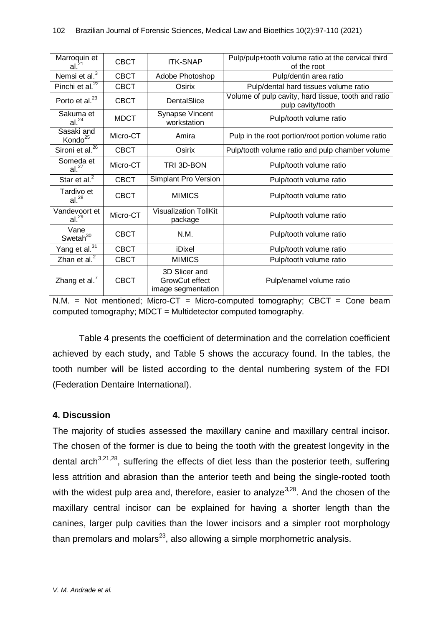| Marroquin et<br>al. <sup>21</sup>  | <b>CBCT</b> | <b>ITK-SNAP</b>                                       | Pulp/pulp+tooth volume ratio at the cervical third<br>of the root        |
|------------------------------------|-------------|-------------------------------------------------------|--------------------------------------------------------------------------|
| Nemsi et al. <sup>3</sup>          | <b>CBCT</b> | Adobe Photoshop                                       | Pulp/dentin area ratio                                                   |
| Pinchi et al. <sup>22</sup>        | <b>CBCT</b> | Osirix                                                | Pulp/dental hard tissues volume ratio                                    |
| Porto et al. <sup>23</sup>         | <b>CBCT</b> | DentalSlice                                           | Volume of pulp cavity, hard tissue, tooth and ratio<br>pulp cavity/tooth |
| Sakuma et<br>al. <sup>24</sup>     | <b>MDCT</b> | Synapse Vincent<br>workstation                        | Pulp/tooth volume ratio                                                  |
| Sasaki and<br>Kondo <sup>25</sup>  | Micro-CT    | Amira                                                 | Pulp in the root portion/root portion volume ratio                       |
| Sironi et al. <sup>26</sup>        | <b>CBCT</b> | Osirix                                                | Pulp/tooth volume ratio and pulp chamber volume                          |
| Someda et<br>al. <sup>27</sup>     | Micro-CT    | TRI 3D-BON                                            | Pulp/tooth volume ratio                                                  |
| Star et al. $^2$                   | <b>CBCT</b> | <b>Simplant Pro Version</b>                           | Pulp/tooth volume ratio                                                  |
| Tardivo et<br>al. <sup>28</sup>    | <b>CBCT</b> | <b>MIMICS</b>                                         | Pulp/tooth volume ratio                                                  |
| Vandevoort et<br>al. <sup>29</sup> | Micro-CT    | <b>Visualization TollKit</b><br>package               | Pulp/tooth volume ratio                                                  |
| Vane<br>Swetah <sup>30</sup>       | CBCT        | N.M.                                                  | Pulp/tooth volume ratio                                                  |
| Yang et al. <sup>31</sup>          | <b>CBCT</b> | iDixel                                                | Pulp/tooth volume ratio                                                  |
| Zhan et al. <sup>2</sup>           | <b>CBCT</b> | <b>MIMICS</b>                                         | Pulp/tooth volume ratio                                                  |
| Zhang et al.                       | <b>CBCT</b> | 3D Slicer and<br>GrowCut effect<br>image segmentation | Pulp/enamel volume ratio                                                 |

 $N.M.$  = Not mentioned; Micro-CT = Micro-computed tomography; CBCT = Cone beam computed tomography; MDCT = Multidetector computed tomography.

Table 4 presents the coefficient of determination and the correlation coefficient achieved by each study, and Table 5 shows the accuracy found. In the tables, the tooth number will be listed according to the dental numbering system of the FDI (Federation Dentaire International).

## **4. Discussion**

The majority of studies assessed the maxillary canine and maxillary central incisor. The chosen of the former is due to being the tooth with the greatest longevity in the dental arch $3,21,28$ , suffering the effects of diet less than the posterior teeth, suffering less attrition and abrasion than the anterior teeth and being the single-rooted tooth with the widest pulp area and, therefore, easier to analyze $3,28$ . And the chosen of the maxillary central incisor can be explained for having a shorter length than the canines, larger pulp cavities than the lower incisors and a simpler root morphology than premolars and molars<sup>23</sup>, also allowing a simple morphometric analysis.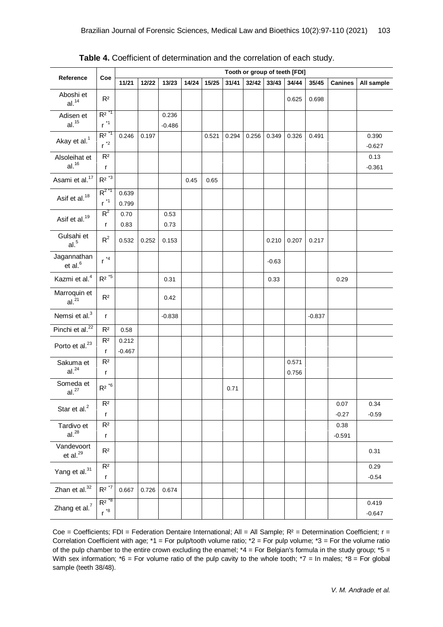|                                    | Tooth or group of teeth [FDI]                   |                   |       |                   |       |       |       |       |         |                |          |                  |                   |
|------------------------------------|-------------------------------------------------|-------------------|-------|-------------------|-------|-------|-------|-------|---------|----------------|----------|------------------|-------------------|
| Reference                          | Coe                                             | 11/21             | 12/22 | 13/23             | 14/24 | 15/25 | 31/41 | 32/42 | 33/43   | 34/44          | 35/45    | <b>Canines</b>   | All sample        |
| Aboshi et<br>al. <sup>14</sup>     | R <sup>2</sup>                                  |                   |       |                   |       |       |       |       |         | 0.625          | 0.698    |                  |                   |
| Adisen et<br>al. <sup>15</sup>     | $R^2$ <sup>*1</sup><br>$r^{\star}$ <sup>1</sup> |                   |       | 0.236<br>$-0.486$ |       |       |       |       |         |                |          |                  |                   |
| Akay et al. <sup>1</sup>           | $R^2$ <sup>*1</sup><br>$r^{\ast 2}$             | 0.246             | 0.197 |                   |       | 0.521 | 0.294 | 0.256 | 0.349   | 0.326          | 0.491    |                  | 0.390<br>$-0.627$ |
| Alsoleihat et<br>al. <sup>16</sup> | R <sup>2</sup><br>$\mathsf{r}$                  |                   |       |                   |       |       |       |       |         |                |          |                  | 0.13<br>$-0.361$  |
| Asami et al. <sup>17</sup>         | $R^2$ *3                                        |                   |       |                   | 0.45  | 0.65  |       |       |         |                |          |                  |                   |
| Asif et al. <sup>18</sup>          | $R^{2*1}$<br>$r^{\star}$ <sup>1</sup>           | 0.639<br>0.799    |       |                   |       |       |       |       |         |                |          |                  |                   |
| Asif et al. <sup>19</sup>          | $R^2$<br>r                                      | 0.70<br>0.83      |       | 0.53<br>0.73      |       |       |       |       |         |                |          |                  |                   |
| Gulsahi et<br>al. <sup>5</sup>     | $R^2$                                           | 0.532             | 0.252 | 0.153             |       |       |       |       | 0.210   | 0.207          | 0.217    |                  |                   |
| Jagannathan<br>et al. $6$          | $r^{4}$                                         |                   |       |                   |       |       |       |       | $-0.63$ |                |          |                  |                   |
| Kazmi et al. <sup>4</sup>          | $\mathsf{R}^{\mathsf{2}}$ *5                    |                   |       | 0.31              |       |       |       |       | 0.33    |                |          | 0.29             |                   |
| Marroquin et<br>al. <sup>21</sup>  | R <sup>2</sup>                                  |                   |       | 0.42              |       |       |       |       |         |                |          |                  |                   |
| Nemsi et al. <sup>3</sup>          | $\mathsf{r}$                                    |                   |       | $-0.838$          |       |       |       |       |         |                | $-0.837$ |                  |                   |
| Pinchi et al. <sup>22</sup>        | R <sup>2</sup>                                  | 0.58              |       |                   |       |       |       |       |         |                |          |                  |                   |
| Porto et al. $^{23}$               | R <sup>2</sup><br>r                             | 0.212<br>$-0.467$ |       |                   |       |       |       |       |         |                |          |                  |                   |
| Sakuma et<br>al. <sup>24</sup>     | R <sup>2</sup><br>$\mathsf{r}$                  |                   |       |                   |       |       |       |       |         | 0.571<br>0.756 |          |                  |                   |
| Someda et<br>al. <sup>27</sup>     | $R^2$ *6                                        |                   |       |                   |       |       | 0.71  |       |         |                |          |                  |                   |
| Star et al. $^{2}$                 | R <sup>2</sup><br>r                             |                   |       |                   |       |       |       |       |         |                |          | 0.07<br>$-0.27$  | 0.34<br>$-0.59$   |
| Tardivo et<br>al. <sup>28</sup>    | R <sup>2</sup><br>r                             |                   |       |                   |       |       |       |       |         |                |          | 0.38<br>$-0.591$ |                   |
| Vandevoort<br>et al. $^{29}$       | R <sup>2</sup>                                  |                   |       |                   |       |       |       |       |         |                |          |                  | 0.31              |
| Yang et al. <sup>31</sup>          | R <sup>2</sup><br>r                             |                   |       |                   |       |       |       |       |         |                |          |                  | 0.29<br>$-0.54$   |
| Zhan et al. <sup>32</sup>          | $\mathsf{R}^{\mathsf{2}}$ *7                    | 0.667             | 0.726 | 0.674             |       |       |       |       |         |                |          |                  |                   |
| Zhang et al. <sup>7</sup>          | $R^2$ $8$<br>$r^{8}$                            |                   |       |                   |       |       |       |       |         |                |          |                  | 0.419<br>$-0.647$ |

**Table 4.** Coefficient of determination and the correlation of each study.

Coe = Coefficients; FDI = Federation Dentaire International; All = All Sample; R<sup>2</sup> = Determination Coefficient; r = Correlation Coefficient with age;  $*1$  = For pulp/tooth volume ratio;  $*2$  = For pulp volume;  $*3$  = For the volume ratio of the pulp chamber to the entire crown excluding the enamel;  $*4 =$  For Belgian's formula in the study group;  $*5 =$ With sex information;  $*6 =$  For volume ratio of the pulp cavity to the whole tooth;  $*7 =$  In males;  $*8 =$  For global sample (teeth 38/48).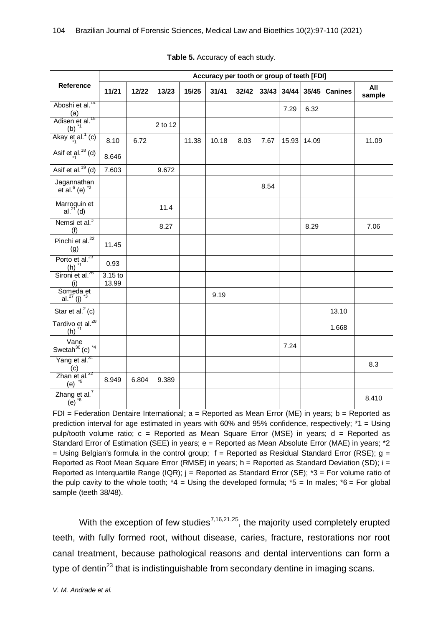|                                                                       | Accuracy per tooth or group of teeth [FDI] |       |         |       |       |       |       |       |       |                |               |
|-----------------------------------------------------------------------|--------------------------------------------|-------|---------|-------|-------|-------|-------|-------|-------|----------------|---------------|
| Reference                                                             | 11/21                                      | 12/22 | 13/23   | 15/25 | 31/41 | 32/42 | 33/43 | 34/44 | 35/45 | <b>Canines</b> | All<br>sample |
| Aboshi et al. <sup>14</sup><br>(a)                                    |                                            |       |         |       |       |       |       | 7.29  | 6.32  |                |               |
| Adisen et al. <sup>15</sup><br>(b) $1$                                |                                            |       | 2 to 12 |       |       |       |       |       |       |                |               |
| Akay $et_{1}$ al. <sup>1</sup> (c)                                    | 8.10                                       | 6.72  |         | 11.38 | 10.18 | 8.03  | 7.67  | 15.93 | 14.09 |                | 11.09         |
| Asif et al. $18$ (d)                                                  | 8.646                                      |       |         |       |       |       |       |       |       |                |               |
| Asif et al. $19$ (d)                                                  | 7.603                                      |       | 9.672   |       |       |       |       |       |       |                |               |
| Jagannathan<br>et al. $6$ (e) $^{2}$                                  |                                            |       |         |       |       |       | 8.54  |       |       |                |               |
| Marroquin et<br>$al.^{21'}(d)$                                        |                                            |       | 11.4    |       |       |       |       |       |       |                |               |
| Nemsi et al. <sup>3</sup><br>(f)                                      |                                            |       | 8.27    |       |       |       |       |       | 8.29  |                | 7.06          |
| Pinchi et al. <sup>22</sup><br>(g)                                    | 11.45                                      |       |         |       |       |       |       |       |       |                |               |
| Porto et al. <sup>23</sup><br>$(h)$ <sup><math>*1</math></sup>        | 0.93                                       |       |         |       |       |       |       |       |       |                |               |
| Sironi et al. <sup>26</sup><br>(i)                                    | $3.15$ to<br>13.99                         |       |         |       |       |       |       |       |       |                |               |
| Someda et<br>al. <sup>27</sup> (j) <sup>*3</sup>                      |                                            |       |         |       | 9.19  |       |       |       |       |                |               |
| Star et al. $2$ (c)                                                   |                                            |       |         |       |       |       |       |       |       | 13.10          |               |
| Tardivo et al. <sup>28</sup><br>$(h)$ <sup><math>\dot{1}</math></sup> |                                            |       |         |       |       |       |       |       |       | 1.668          |               |
| Vane<br>Swetah $30$ (e) $*4$                                          |                                            |       |         |       |       |       |       | 7.24  |       |                |               |
| Yang et al. <sup>31</sup><br>(c)                                      |                                            |       |         |       |       |       |       |       |       |                | 8.3           |
| Zhan et al. $32$<br>$(e)$ <sup>+5</sup>                               | 8.949                                      | 6.804 | 9.389   |       |       |       |       |       |       |                |               |
| Zhang et al. <sup>7</sup><br>(e) $16$                                 |                                            |       |         |       |       |       |       |       |       |                | 8.410         |

#### **Table 5.** Accuracy of each study.

FDI = Federation Dentaire International:  $a =$  Reported as Mean Error (ME) in years;  $b =$  Reported as prediction interval for age estimated in years with 60% and 95% confidence, respectively; \*1 = Using pulp/tooth volume ratio; c = Reported as Mean Square Error (MSE) in years; d = Reported as Standard Error of Estimation (SEE) in years; e = Reported as Mean Absolute Error (MAE) in years; \*2  $=$  Using Belgian's formula in the control group; f = Reported as Residual Standard Error (RSE); g = Reported as Root Mean Square Error (RMSE) in years;  $h =$  Reported as Standard Deviation (SD);  $i =$ Reported as Interquartile Range (IQR);  $j$  = Reported as Standard Error (SE);  $*3$  = For volume ratio of the pulp cavity to the whole tooth;  $*4 =$  Using the developed formula;  $*5 =$  In males;  $*6 =$  For global sample (teeth 38/48).

With the exception of few studies<sup>7,16,21,25</sup>, the majority used completely erupted teeth, with fully formed root, without disease, caries, fracture, restorations nor root canal treatment, because pathological reasons and dental interventions can form a type of dentin<sup>23</sup> that is indistinguishable from secondary dentine in imaging scans.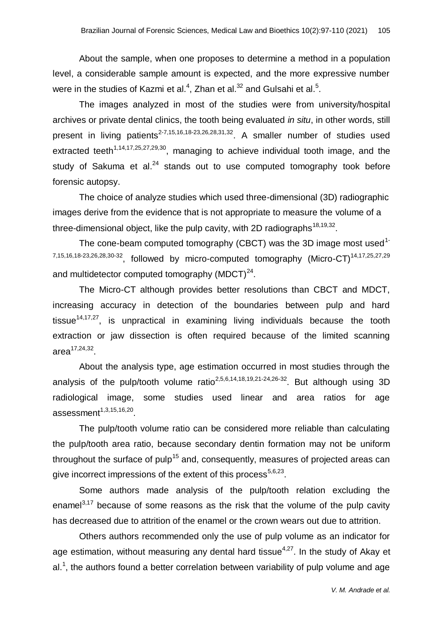About the sample, when one proposes to determine a method in a population level, a considerable sample amount is expected, and the more expressive number were in the studies of Kazmi et al.<sup>4</sup>, Zhan et al.<sup>32</sup> and Gulsahi et al.<sup>5</sup>.

The images analyzed in most of the studies were from university/hospital archives or private dental clinics, the tooth being evaluated *in situ*, in other words, still present in living patients<sup>2-7,15,16,18-23,26,28,31,32</sup>. A smaller number of studies used extracted teeth<sup>1,14,17,25,27,29,30</sup>, managing to achieve individual tooth image, and the study of Sakuma et al. $^{24}$  stands out to use computed tomography took before forensic autopsy.

The choice of analyze studies which used three-dimensional (3D) radiographic images derive from the evidence that is not appropriate to measure the volume of a three-dimensional object, like the pulp cavity, with 2D radiographs  $^{18,19,32}$ .

The cone-beam computed tomography (CBCT) was the 3D image most used<sup>1-</sup> 7,15,16,18-23,26,28,30-32, followed by micro-computed tomography (Micro-CT)<sup>14,17,25,27,29</sup> and multidetector computed tomography (MDCT) $^{24}$ .

The Micro-CT although provides better resolutions than CBCT and MDCT, increasing accuracy in detection of the boundaries between pulp and hard tissue<sup>14,17,27</sup>, is unpractical in examining living individuals because the tooth extraction or jaw dissection is often required because of the limited scanning area $^{17,24,32}.$ 

About the analysis type, age estimation occurred in most studies through the analysis of the pulp/tooth volume ratio<sup>2,5,6,14,18,19,21-24,26-32</sup>. But although using 3D radiological image, some studies used linear and area ratios for age  $\mathsf{assessment}^{1,3,15,16,20}.$ 

The pulp/tooth volume ratio can be considered more reliable than calculating the pulp/tooth area ratio, because secondary dentin formation may not be uniform throughout the surface of pulp<sup>15</sup> and, consequently, measures of projected areas can give incorrect impressions of the extent of this process<sup>5,6,23</sup>.

Some authors made analysis of the pulp/tooth relation excluding the enamel $3,17$  because of some reasons as the risk that the volume of the pulp cavity has decreased due to attrition of the enamel or the crown wears out due to attrition.

Others authors recommended only the use of pulp volume as an indicator for age estimation, without measuring any dental hard tissue<sup>4,27</sup>. In the study of Akay et al.<sup>1</sup>, the authors found a better correlation between variability of pulp volume and age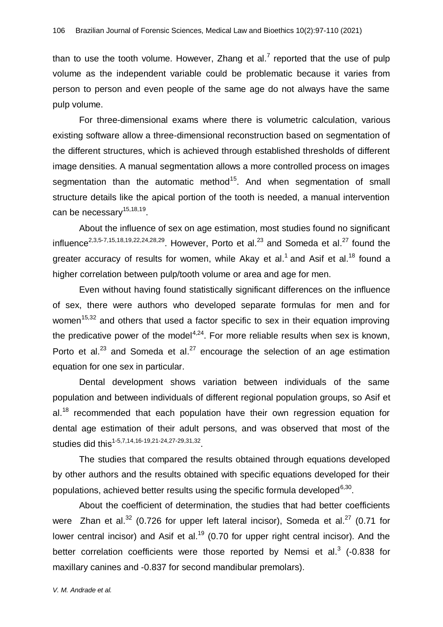than to use the tooth volume. However, Zhang et al.<sup>7</sup> reported that the use of pulp volume as the independent variable could be problematic because it varies from person to person and even people of the same age do not always have the same pulp volume.

For three-dimensional exams where there is volumetric calculation, various existing software allow a three-dimensional reconstruction based on segmentation of the different structures, which is achieved through established thresholds of different image densities. A manual segmentation allows a more controlled process on images segmentation than the automatic method<sup>15</sup>. And when segmentation of small structure details like the apical portion of the tooth is needed, a manual intervention can be necessary<sup>15,18,19</sup>.

About the influence of sex on age estimation, most studies found no significant influence<sup>2,3,5-7,15,18,19,22,24,28,29</sup>. However, Porto et al.<sup>23</sup> and Someda et al.<sup>27</sup> found the greater accuracy of results for women, while Akay et al.<sup>1</sup> and Asif et al.<sup>18</sup> found a higher correlation between pulp/tooth volume or area and age for men.

Even without having found statistically significant differences on the influence of sex, there were authors who developed separate formulas for men and for women<sup>15,32</sup> and others that used a factor specific to sex in their equation improving the predicative power of the model<sup>4,24</sup>. For more reliable results when sex is known, Porto et al.<sup>23</sup> and Someda et al.<sup>27</sup> encourage the selection of an age estimation equation for one sex in particular.

Dental development shows variation between individuals of the same population and between individuals of different regional population groups, so Asif et al.<sup>18</sup> recommended that each population have their own regression equation for dental age estimation of their adult persons, and was observed that most of the studies did this<sup>1-5,7,14,16-19,21-24,27-29,31,32</sup>.

The studies that compared the results obtained through equations developed by other authors and the results obtained with specific equations developed for their populations, achieved better results using the specific formula developed $^{6,30}$ .

About the coefficient of determination, the studies that had better coefficients were Zhan et al.<sup>32</sup> (0.726 for upper left lateral incisor), Someda et al.<sup>27</sup> (0.71 for lower central incisor) and Asif et al.<sup>19</sup> (0.70 for upper right central incisor). And the better correlation coefficients were those reported by Nemsi et al.<sup>3</sup> (-0.838 for maxillary canines and -0.837 for second mandibular premolars).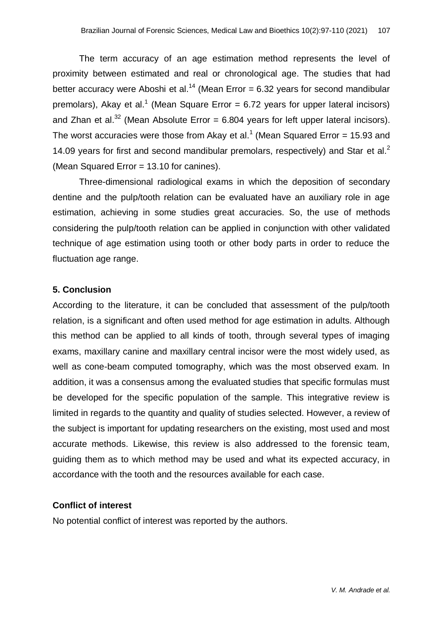The term accuracy of an age estimation method represents the level of proximity between estimated and real or chronological age. The studies that had better accuracy were Aboshi et al.<sup>14</sup> (Mean Error = 6.32 years for second mandibular premolars), Akay et al.<sup>1</sup> (Mean Square Error = 6.72 years for upper lateral incisors) and Zhan et al.<sup>32</sup> (Mean Absolute Error = 6.804 years for left upper lateral incisors). The worst accuracies were those from Akay et al.<sup>1</sup> (Mean Squared Error = 15.93 and 14.09 years for first and second mandibular premolars, respectively) and Star et al.<sup>2</sup> (Mean Squared Error = 13.10 for canines).

Three-dimensional radiological exams in which the deposition of secondary dentine and the pulp/tooth relation can be evaluated have an auxiliary role in age estimation, achieving in some studies great accuracies. So, the use of methods considering the pulp/tooth relation can be applied in conjunction with other validated technique of age estimation using tooth or other body parts in order to reduce the fluctuation age range.

#### **5. Conclusion**

According to the literature, it can be concluded that assessment of the pulp/tooth relation, is a significant and often used method for age estimation in adults. Although this method can be applied to all kinds of tooth, through several types of imaging exams, maxillary canine and maxillary central incisor were the most widely used, as well as cone-beam computed tomography, which was the most observed exam. In addition, it was a consensus among the evaluated studies that specific formulas must be developed for the specific population of the sample. This integrative review is limited in regards to the quantity and quality of studies selected. However, a review of the subject is important for updating researchers on the existing, most used and most accurate methods. Likewise, this review is also addressed to the forensic team, guiding them as to which method may be used and what its expected accuracy, in accordance with the tooth and the resources available for each case.

#### **Conflict of interest**

No potential conflict of interest was reported by the authors.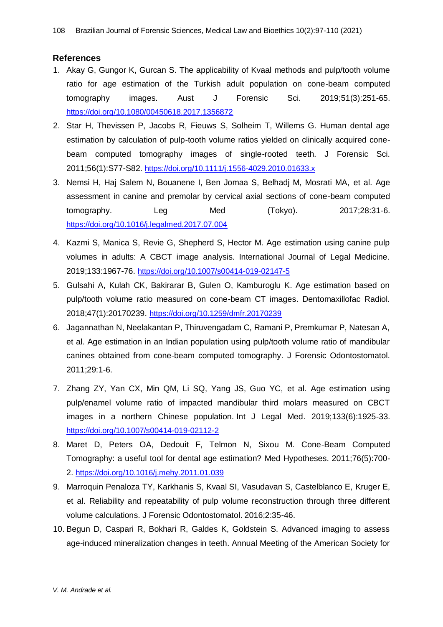#### **References**

- 1. Akay G, Gungor K, Gurcan S. The applicability of Kvaal methods and pulp/tooth volume ratio for age estimation of the Turkish adult population on cone-beam computed tomography images. Aust J Forensic Sci. 2019;51(3):251-65. <https://doi.org/10.1080/00450618.2017.1356872>
- 2. Star H, Thevissen P, Jacobs R, Fieuws S, Solheim T, Willems G. Human dental age estimation by calculation of pulp-tooth volume ratios yielded on clinically acquired conebeam computed tomography images of single-rooted teeth. J Forensic Sci. 2011;56(1):S77-S82. <https://doi.org/10.1111/j.1556-4029.2010.01633.x>
- 3. Nemsi H, Haj Salem N, Bouanene I, Ben Jomaa S, Belhadj M, Mosrati MA, et al. Age assessment in canine and premolar by cervical axial sections of cone-beam computed tomography. Leg Med (Tokyo). 2017;28:31-6. <https://doi.org/10.1016/j.legalmed.2017.07.004>
- 4. Kazmi S, Manica S, Revie G, Shepherd S, Hector M. Age estimation using canine pulp volumes in adults: A CBCT image analysis. International Journal of Legal Medicine. 2019;133:1967-76. <https://doi.org/10.1007/s00414-019-02147-5>
- 5. Gulsahi A, Kulah CK, Bakirarar B, Gulen O, Kamburoglu K. Age estimation based on pulp/tooth volume ratio measured on cone-beam CT images. Dentomaxillofac Radiol. 2018;47(1):20170239. <https://doi.org/10.1259/dmfr.20170239>
- 6. Jagannathan N, Neelakantan P, Thiruvengadam C, Ramani P, Premkumar P, Natesan A, et al. Age estimation in an Indian population using pulp/tooth volume ratio of mandibular canines obtained from cone-beam computed tomography. J Forensic Odontostomatol. 2011;29:1-6.
- 7. Zhang ZY, Yan CX, Min QM, Li SQ, Yang JS, Guo YC, et al. Age estimation using pulp/enamel volume ratio of impacted mandibular third molars measured on CBCT images in a northern Chinese population. Int J Legal Med. 2019;133(6):1925-33. <https://doi.org/10.1007/s00414-019-02112-2>
- 8. Maret D, Peters OA, Dedouit F, Telmon N, Sixou M. Cone-Beam Computed Tomography: a useful tool for dental age estimation? Med Hypotheses. 2011;76(5):700- 2. <https://doi.org/10.1016/j.mehy.2011.01.039>
- 9. Marroquin Penaloza TY, Karkhanis S, Kvaal SI, Vasudavan S, Castelblanco E, Kruger E, et al. Reliability and repeatability of pulp volume reconstruction through three different volume calculations. J Forensic Odontostomatol. 2016;2:35-46.
- 10. Begun D, Caspari R, Bokhari R, Galdes K, Goldstein S. Advanced imaging to assess age-induced mineralization changes in teeth. Annual Meeting of the American Society for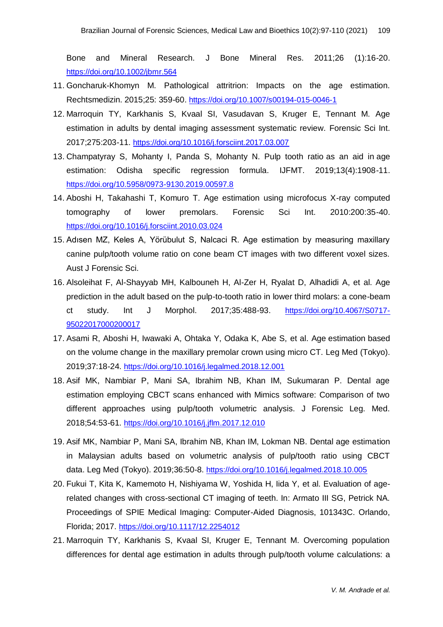Bone and Mineral Research. J Bone Mineral Res. 2011;26 (1):16-20. <https://doi.org/10.1002/jbmr.564>

- 11. Goncharuk-Khomyn M. Pathological attritrion: Impacts on the age estimation. Rechtsmedizin. 2015;25: 359-60. <https://doi.org/10.1007/s00194-015-0046-1>
- 12. Marroquin TY, Karkhanis S, Kvaal SI, Vasudavan S, Kruger E, Tennant M. Age estimation in adults by dental imaging assessment systematic review. Forensic Sci Int. 2017;275:203-11. <https://doi.org/10.1016/j.forsciint.2017.03.007>
- 13. Champatyray S, Mohanty I, Panda S, Mohanty N. Pulp tooth ratio as an aid in age estimation: Odisha specific regression formula. IJFMT. 2019;13(4):1908-11. <https://doi.org/10.5958/0973-9130.2019.00597.8>
- 14. Aboshi H, Takahashi T, Komuro T. Age estimation using microfocus X-ray computed tomography of lower premolars. Forensic Sci Int. 2010:200:35-40. <https://doi.org/10.1016/j.forsciint.2010.03.024>
- 15. Adısen MZ, Keles A, Yörübulut S, Nalcaci R. Age estimation by measuring maxillary canine pulp/tooth volume ratio on cone beam CT images with two different voxel sizes. Aust J Forensic Sci.
- 16. Alsoleihat F, Al-Shayyab MH, Kalbouneh H, Al-Zer H, Ryalat D, Alhadidi A, et al. Age prediction in the adult based on the pulp-to-tooth ratio in lower third molars: a cone-beam ct study. Int J Morphol. 2017;35:488-93. [https://doi.org/10.4067/S0717-](https://doi.org/10.4067/S0717-95022017000200017) [95022017000200017](https://doi.org/10.4067/S0717-95022017000200017)
- 17. Asami R, Aboshi H, Iwawaki A, Ohtaka Y, Odaka K, Abe S, et al. Age estimation based on the volume change in the maxillary premolar crown using micro CT. Leg Med (Tokyo). 2019;37:18-24. <https://doi.org/10.1016/j.legalmed.2018.12.001>
- 18. Asif MK, Nambiar P, Mani SA, Ibrahim NB, Khan IM, Sukumaran P. Dental age estimation employing CBCT scans enhanced with Mimics software: Comparison of two different approaches using pulp/tooth volumetric analysis. J Forensic Leg. Med. 2018;54:53-61. <https://doi.org/10.1016/j.jflm.2017.12.010>
- 19. Asif MK, Nambiar P, Mani SA, Ibrahim NB, Khan IM, Lokman NB. Dental age estimation in Malaysian adults based on volumetric analysis of pulp/tooth ratio using CBCT data. Leg Med (Tokyo). 2019;36:50-8. <https://doi.org/10.1016/j.legalmed.2018.10.005>
- 20. Fukui T, Kita K, Kamemoto H, Nishiyama W, Yoshida H, Iida Y, et al. Evaluation of agerelated changes with cross-sectional CT imaging of teeth. In: Armato III SG, Petrick NA. Proceedings of SPIE Medical Imaging: Computer-Aided Diagnosis, 101343C. Orlando, Florida; 2017. <https://doi.org/10.1117/12.2254012>
- 21. Marroquin TY, Karkhanis S, Kvaal SI, Kruger E, Tennant M. Overcoming population differences for dental age estimation in adults through pulp/tooth volume calculations: a